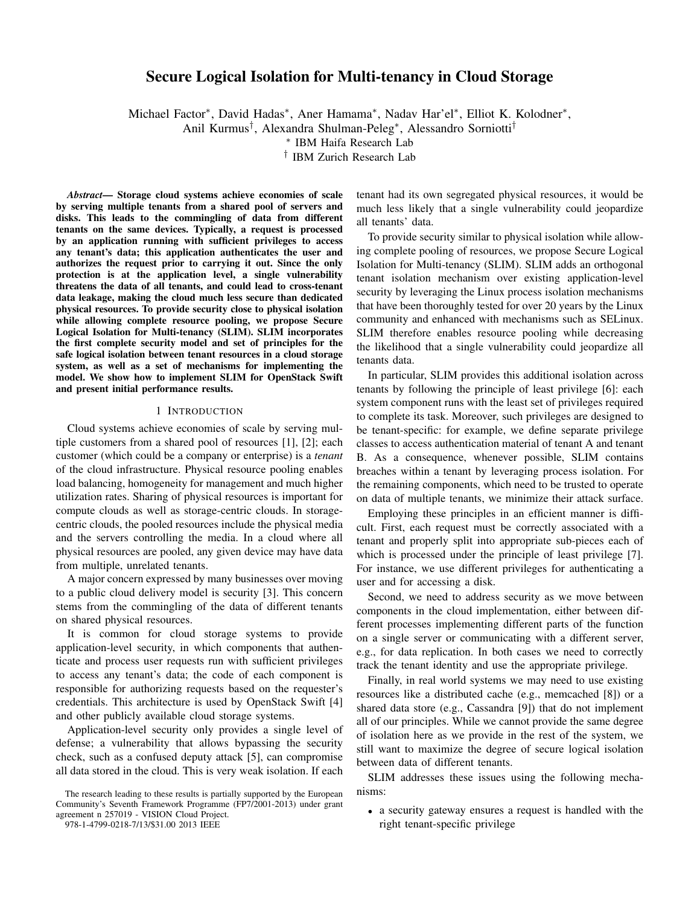# Secure Logical Isolation for Multi-tenancy in Cloud Storage

Michael Factor<sup>\*</sup>, David Hadas<sup>\*</sup>, Aner Hamama<sup>\*</sup>, Nadav Har'el<sup>\*</sup>, Elliot K. Kolodner<sup>\*</sup>,

Anil Kurmus† , Alexandra Shulman-Peleg<sup>∗</sup> , Alessandro Sorniotti†

∗ IBM Haifa Research Lab

† IBM Zurich Research Lab

*Abstract*— Storage cloud systems achieve economies of scale by serving multiple tenants from a shared pool of servers and disks. This leads to the commingling of data from different tenants on the same devices. Typically, a request is processed by an application running with sufficient privileges to access any tenant's data; this application authenticates the user and authorizes the request prior to carrying it out. Since the only protection is at the application level, a single vulnerability threatens the data of all tenants, and could lead to cross-tenant data leakage, making the cloud much less secure than dedicated physical resources. To provide security close to physical isolation while allowing complete resource pooling, we propose Secure Logical Isolation for Multi-tenancy (SLIM). SLIM incorporates the first complete security model and set of principles for the safe logical isolation between tenant resources in a cloud storage system, as well as a set of mechanisms for implementing the model. We show how to implement SLIM for OpenStack Swift and present initial performance results.

#### 1 INTRODUCTION

Cloud systems achieve economies of scale by serving multiple customers from a shared pool of resources [1], [2]; each customer (which could be a company or enterprise) is a *tenant* of the cloud infrastructure. Physical resource pooling enables load balancing, homogeneity for management and much higher utilization rates. Sharing of physical resources is important for compute clouds as well as storage-centric clouds. In storagecentric clouds, the pooled resources include the physical media and the servers controlling the media. In a cloud where all physical resources are pooled, any given device may have data from multiple, unrelated tenants.

A major concern expressed by many businesses over moving to a public cloud delivery model is security [3]. This concern stems from the commingling of the data of different tenants on shared physical resources.

It is common for cloud storage systems to provide application-level security, in which components that authenticate and process user requests run with sufficient privileges to access any tenant's data; the code of each component is responsible for authorizing requests based on the requester's credentials. This architecture is used by OpenStack Swift [4] and other publicly available cloud storage systems.

Application-level security only provides a single level of defense; a vulnerability that allows bypassing the security check, such as a confused deputy attack [5], can compromise all data stored in the cloud. This is very weak isolation. If each

978-1-4799-0218-7/13/\$31.00 2013 IEEE

tenant had its own segregated physical resources, it would be much less likely that a single vulnerability could jeopardize all tenants' data.

To provide security similar to physical isolation while allowing complete pooling of resources, we propose Secure Logical Isolation for Multi-tenancy (SLIM). SLIM adds an orthogonal tenant isolation mechanism over existing application-level security by leveraging the Linux process isolation mechanisms that have been thoroughly tested for over 20 years by the Linux community and enhanced with mechanisms such as SELinux. SLIM therefore enables resource pooling while decreasing the likelihood that a single vulnerability could jeopardize all tenants data.

In particular, SLIM provides this additional isolation across tenants by following the principle of least privilege [6]: each system component runs with the least set of privileges required to complete its task. Moreover, such privileges are designed to be tenant-specific: for example, we define separate privilege classes to access authentication material of tenant A and tenant B. As a consequence, whenever possible, SLIM contains breaches within a tenant by leveraging process isolation. For the remaining components, which need to be trusted to operate on data of multiple tenants, we minimize their attack surface.

Employing these principles in an efficient manner is difficult. First, each request must be correctly associated with a tenant and properly split into appropriate sub-pieces each of which is processed under the principle of least privilege [7]. For instance, we use different privileges for authenticating a user and for accessing a disk.

Second, we need to address security as we move between components in the cloud implementation, either between different processes implementing different parts of the function on a single server or communicating with a different server, e.g., for data replication. In both cases we need to correctly track the tenant identity and use the appropriate privilege.

Finally, in real world systems we may need to use existing resources like a distributed cache (e.g., memcached [8]) or a shared data store (e.g., Cassandra [9]) that do not implement all of our principles. While we cannot provide the same degree of isolation here as we provide in the rest of the system, we still want to maximize the degree of secure logical isolation between data of different tenants.

SLIM addresses these issues using the following mechanisms:

• a security gateway ensures a request is handled with the right tenant-specific privilege

The research leading to these results is partially supported by the European Community's Seventh Framework Programme (FP7/2001-2013) under grant agreement n 257019 - VISION Cloud Project.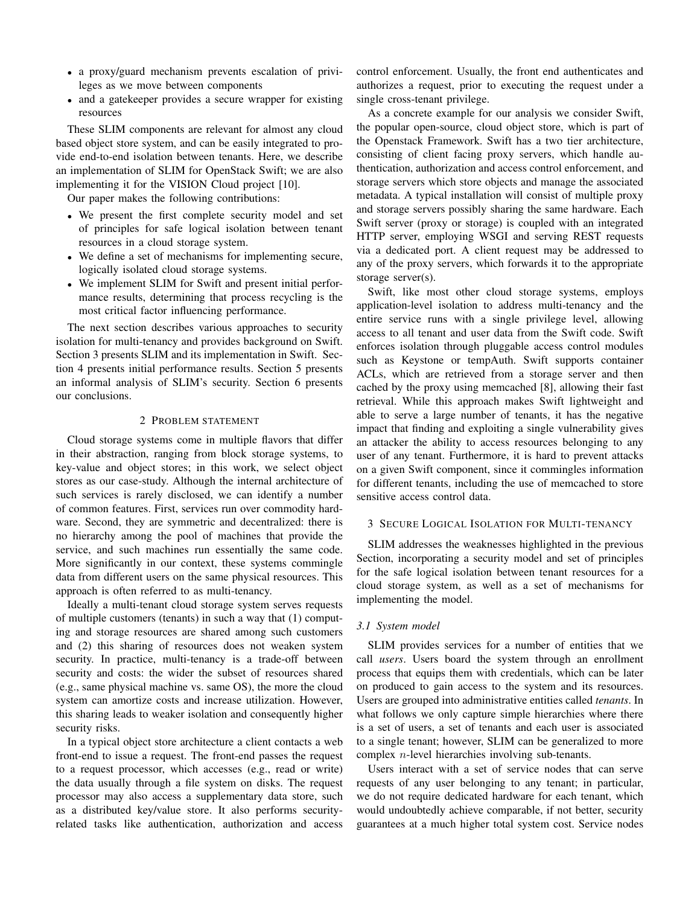- a proxy/guard mechanism prevents escalation of privileges as we move between components
- and a gatekeeper provides a secure wrapper for existing resources

These SLIM components are relevant for almost any cloud based object store system, and can be easily integrated to provide end-to-end isolation between tenants. Here, we describe an implementation of SLIM for OpenStack Swift; we are also implementing it for the VISION Cloud project [10].

Our paper makes the following contributions:

- We present the first complete security model and set of principles for safe logical isolation between tenant resources in a cloud storage system.
- We define a set of mechanisms for implementing secure, logically isolated cloud storage systems.
- We implement SLIM for Swift and present initial performance results, determining that process recycling is the most critical factor influencing performance.

The next section describes various approaches to security isolation for multi-tenancy and provides background on Swift. Section 3 presents SLIM and its implementation in Swift. Section 4 presents initial performance results. Section 5 presents an informal analysis of SLIM's security. Section 6 presents our conclusions.

## 2 PROBLEM STATEMENT

Cloud storage systems come in multiple flavors that differ in their abstraction, ranging from block storage systems, to key-value and object stores; in this work, we select object stores as our case-study. Although the internal architecture of such services is rarely disclosed, we can identify a number of common features. First, services run over commodity hardware. Second, they are symmetric and decentralized: there is no hierarchy among the pool of machines that provide the service, and such machines run essentially the same code. More significantly in our context, these systems commingle data from different users on the same physical resources. This approach is often referred to as multi-tenancy.

Ideally a multi-tenant cloud storage system serves requests of multiple customers (tenants) in such a way that (1) computing and storage resources are shared among such customers and (2) this sharing of resources does not weaken system security. In practice, multi-tenancy is a trade-off between security and costs: the wider the subset of resources shared (e.g., same physical machine vs. same OS), the more the cloud system can amortize costs and increase utilization. However, this sharing leads to weaker isolation and consequently higher security risks.

In a typical object store architecture a client contacts a web front-end to issue a request. The front-end passes the request to a request processor, which accesses (e.g., read or write) the data usually through a file system on disks. The request processor may also access a supplementary data store, such as a distributed key/value store. It also performs securityrelated tasks like authentication, authorization and access

control enforcement. Usually, the front end authenticates and authorizes a request, prior to executing the request under a single cross-tenant privilege.

As a concrete example for our analysis we consider Swift, the popular open-source, cloud object store, which is part of the Openstack Framework. Swift has a two tier architecture, consisting of client facing proxy servers, which handle authentication, authorization and access control enforcement, and storage servers which store objects and manage the associated metadata. A typical installation will consist of multiple proxy and storage servers possibly sharing the same hardware. Each Swift server (proxy or storage) is coupled with an integrated HTTP server, employing WSGI and serving REST requests via a dedicated port. A client request may be addressed to any of the proxy servers, which forwards it to the appropriate storage server(s).

Swift, like most other cloud storage systems, employs application-level isolation to address multi-tenancy and the entire service runs with a single privilege level, allowing access to all tenant and user data from the Swift code. Swift enforces isolation through pluggable access control modules such as Keystone or tempAuth. Swift supports container ACLs, which are retrieved from a storage server and then cached by the proxy using memcached [8], allowing their fast retrieval. While this approach makes Swift lightweight and able to serve a large number of tenants, it has the negative impact that finding and exploiting a single vulnerability gives an attacker the ability to access resources belonging to any user of any tenant. Furthermore, it is hard to prevent attacks on a given Swift component, since it commingles information for different tenants, including the use of memcached to store sensitive access control data.

## 3 SECURE LOGICAL ISOLATION FOR MULTI-TENANCY

SLIM addresses the weaknesses highlighted in the previous Section, incorporating a security model and set of principles for the safe logical isolation between tenant resources for a cloud storage system, as well as a set of mechanisms for implementing the model.

## *3.1 System model*

SLIM provides services for a number of entities that we call *users*. Users board the system through an enrollment process that equips them with credentials, which can be later on produced to gain access to the system and its resources. Users are grouped into administrative entities called *tenants*. In what follows we only capture simple hierarchies where there is a set of users, a set of tenants and each user is associated to a single tenant; however, SLIM can be generalized to more complex n-level hierarchies involving sub-tenants.

Users interact with a set of service nodes that can serve requests of any user belonging to any tenant; in particular, we do not require dedicated hardware for each tenant, which would undoubtedly achieve comparable, if not better, security guarantees at a much higher total system cost. Service nodes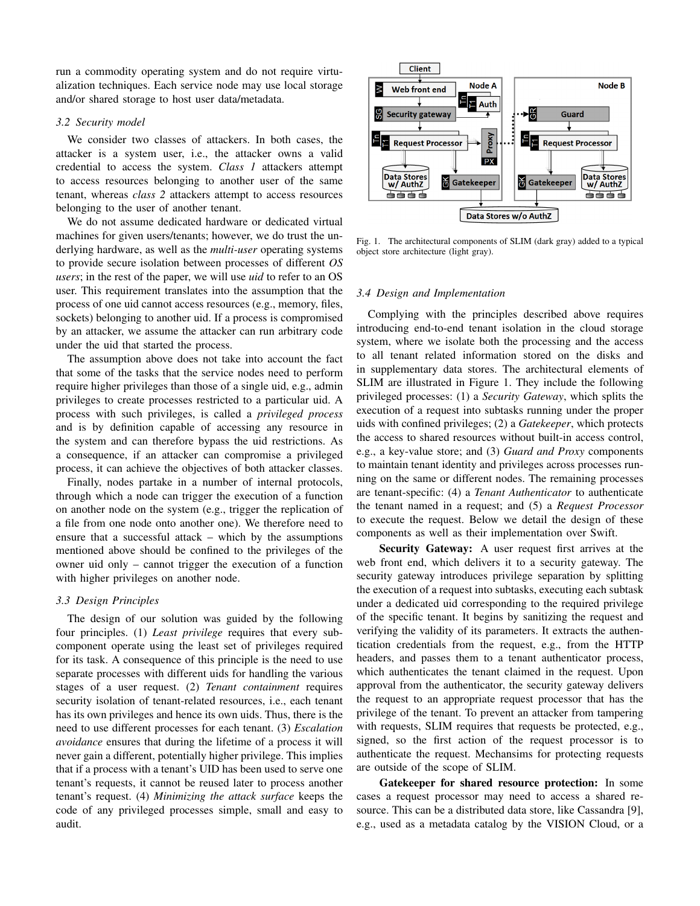run a commodity operating system and do not require virtualization techniques. Each service node may use local storage and/or shared storage to host user data/metadata.

#### *3.2 Security model*

We consider two classes of attackers. In both cases, the attacker is a system user, i.e., the attacker owns a valid credential to access the system. *Class 1* attackers attempt to access resources belonging to another user of the same tenant, whereas *class 2* attackers attempt to access resources belonging to the user of another tenant.

We do not assume dedicated hardware or dedicated virtual machines for given users/tenants; however, we do trust the underlying hardware, as well as the *multi-user* operating systems to provide secure isolation between processes of different *OS users*; in the rest of the paper, we will use *uid* to refer to an OS user. This requirement translates into the assumption that the process of one uid cannot access resources (e.g., memory, files, sockets) belonging to another uid. If a process is compromised by an attacker, we assume the attacker can run arbitrary code under the uid that started the process.

The assumption above does not take into account the fact that some of the tasks that the service nodes need to perform require higher privileges than those of a single uid, e.g., admin privileges to create processes restricted to a particular uid. A process with such privileges, is called a *privileged process* and is by definition capable of accessing any resource in the system and can therefore bypass the uid restrictions. As a consequence, if an attacker can compromise a privileged process, it can achieve the objectives of both attacker classes.

Finally, nodes partake in a number of internal protocols, through which a node can trigger the execution of a function on another node on the system (e.g., trigger the replication of a file from one node onto another one). We therefore need to ensure that a successful attack – which by the assumptions mentioned above should be confined to the privileges of the owner uid only – cannot trigger the execution of a function with higher privileges on another node.

## *3.3 Design Principles*

The design of our solution was guided by the following four principles. (1) *Least privilege* requires that every subcomponent operate using the least set of privileges required for its task. A consequence of this principle is the need to use separate processes with different uids for handling the various stages of a user request. (2) *Tenant containment* requires security isolation of tenant-related resources, i.e., each tenant has its own privileges and hence its own uids. Thus, there is the need to use different processes for each tenant. (3) *Escalation avoidance* ensures that during the lifetime of a process it will never gain a different, potentially higher privilege. This implies that if a process with a tenant's UID has been used to serve one tenant's requests, it cannot be reused later to process another tenant's request. (4) *Minimizing the attack surface* keeps the code of any privileged processes simple, small and easy to audit.



Fig. 1. The architectural components of SLIM (dark gray) added to a typical object store architecture (light gray).

#### *3.4 Design and Implementation*

Complying with the principles described above requires introducing end-to-end tenant isolation in the cloud storage system, where we isolate both the processing and the access to all tenant related information stored on the disks and in supplementary data stores. The architectural elements of SLIM are illustrated in Figure 1. They include the following privileged processes: (1) a *Security Gateway*, which splits the execution of a request into subtasks running under the proper uids with confined privileges; (2) a *Gatekeeper*, which protects the access to shared resources without built-in access control, e.g., a key-value store; and (3) *Guard and Proxy* components to maintain tenant identity and privileges across processes running on the same or different nodes. The remaining processes are tenant-specific: (4) a *Tenant Authenticator* to authenticate the tenant named in a request; and (5) a *Request Processor* to execute the request. Below we detail the design of these components as well as their implementation over Swift.

Security Gateway: A user request first arrives at the web front end, which delivers it to a security gateway. The security gateway introduces privilege separation by splitting the execution of a request into subtasks, executing each subtask under a dedicated uid corresponding to the required privilege of the specific tenant. It begins by sanitizing the request and verifying the validity of its parameters. It extracts the authentication credentials from the request, e.g., from the HTTP headers, and passes them to a tenant authenticator process, which authenticates the tenant claimed in the request. Upon approval from the authenticator, the security gateway delivers the request to an appropriate request processor that has the privilege of the tenant. To prevent an attacker from tampering with requests, SLIM requires that requests be protected, e.g., signed, so the first action of the request processor is to authenticate the request. Mechansims for protecting requests are outside of the scope of SLIM.

Gatekeeper for shared resource protection: In some cases a request processor may need to access a shared resource. This can be a distributed data store, like Cassandra [9], e.g., used as a metadata catalog by the VISION Cloud, or a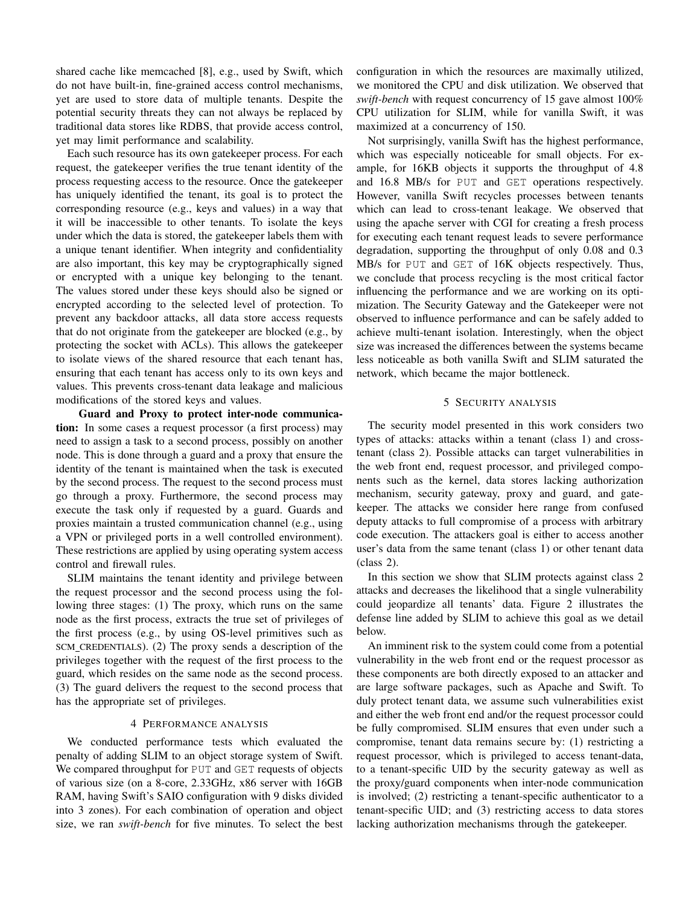shared cache like memcached [8], e.g., used by Swift, which do not have built-in, fine-grained access control mechanisms, yet are used to store data of multiple tenants. Despite the potential security threats they can not always be replaced by traditional data stores like RDBS, that provide access control, yet may limit performance and scalability.

Each such resource has its own gatekeeper process. For each request, the gatekeeper verifies the true tenant identity of the process requesting access to the resource. Once the gatekeeper has uniquely identified the tenant, its goal is to protect the corresponding resource (e.g., keys and values) in a way that it will be inaccessible to other tenants. To isolate the keys under which the data is stored, the gatekeeper labels them with a unique tenant identifier. When integrity and confidentiality are also important, this key may be cryptographically signed or encrypted with a unique key belonging to the tenant. The values stored under these keys should also be signed or encrypted according to the selected level of protection. To prevent any backdoor attacks, all data store access requests that do not originate from the gatekeeper are blocked (e.g., by protecting the socket with ACLs). This allows the gatekeeper to isolate views of the shared resource that each tenant has, ensuring that each tenant has access only to its own keys and values. This prevents cross-tenant data leakage and malicious modifications of the stored keys and values.

Guard and Proxy to protect inter-node communication: In some cases a request processor (a first process) may need to assign a task to a second process, possibly on another node. This is done through a guard and a proxy that ensure the identity of the tenant is maintained when the task is executed by the second process. The request to the second process must go through a proxy. Furthermore, the second process may execute the task only if requested by a guard. Guards and proxies maintain a trusted communication channel (e.g., using a VPN or privileged ports in a well controlled environment). These restrictions are applied by using operating system access control and firewall rules.

SLIM maintains the tenant identity and privilege between the request processor and the second process using the following three stages: (1) The proxy, which runs on the same node as the first process, extracts the true set of privileges of the first process (e.g., by using OS-level primitives such as SCM CREDENTIALS). (2) The proxy sends a description of the privileges together with the request of the first process to the guard, which resides on the same node as the second process. (3) The guard delivers the request to the second process that has the appropriate set of privileges.

#### 4 PERFORMANCE ANALYSIS

We conducted performance tests which evaluated the penalty of adding SLIM to an object storage system of Swift. We compared throughput for PUT and GET requests of objects of various size (on a 8-core, 2.33GHz, x86 server with 16GB RAM, having Swift's SAIO configuration with 9 disks divided into 3 zones). For each combination of operation and object size, we ran *swift-bench* for five minutes. To select the best configuration in which the resources are maximally utilized, we monitored the CPU and disk utilization. We observed that *swift-bench* with request concurrency of 15 gave almost 100% CPU utilization for SLIM, while for vanilla Swift, it was maximized at a concurrency of 150.

Not surprisingly, vanilla Swift has the highest performance, which was especially noticeable for small objects. For example, for 16KB objects it supports the throughput of 4.8 and 16.8 MB/s for PUT and GET operations respectively. However, vanilla Swift recycles processes between tenants which can lead to cross-tenant leakage. We observed that using the apache server with CGI for creating a fresh process for executing each tenant request leads to severe performance degradation, supporting the throughput of only 0.08 and 0.3 MB/s for PUT and GET of 16K objects respectively. Thus, we conclude that process recycling is the most critical factor influencing the performance and we are working on its optimization. The Security Gateway and the Gatekeeper were not observed to influence performance and can be safely added to achieve multi-tenant isolation. Interestingly, when the object size was increased the differences between the systems became less noticeable as both vanilla Swift and SLIM saturated the network, which became the major bottleneck.

## 5 SECURITY ANALYSIS

The security model presented in this work considers two types of attacks: attacks within a tenant (class 1) and crosstenant (class 2). Possible attacks can target vulnerabilities in the web front end, request processor, and privileged components such as the kernel, data stores lacking authorization mechanism, security gateway, proxy and guard, and gatekeeper. The attacks we consider here range from confused deputy attacks to full compromise of a process with arbitrary code execution. The attackers goal is either to access another user's data from the same tenant (class 1) or other tenant data (class 2).

In this section we show that SLIM protects against class 2 attacks and decreases the likelihood that a single vulnerability could jeopardize all tenants' data. Figure 2 illustrates the defense line added by SLIM to achieve this goal as we detail below.

An imminent risk to the system could come from a potential vulnerability in the web front end or the request processor as these components are both directly exposed to an attacker and are large software packages, such as Apache and Swift. To duly protect tenant data, we assume such vulnerabilities exist and either the web front end and/or the request processor could be fully compromised. SLIM ensures that even under such a compromise, tenant data remains secure by: (1) restricting a request processor, which is privileged to access tenant-data, to a tenant-specific UID by the security gateway as well as the proxy/guard components when inter-node communication is involved; (2) restricting a tenant-specific authenticator to a tenant-specific UID; and (3) restricting access to data stores lacking authorization mechanisms through the gatekeeper.